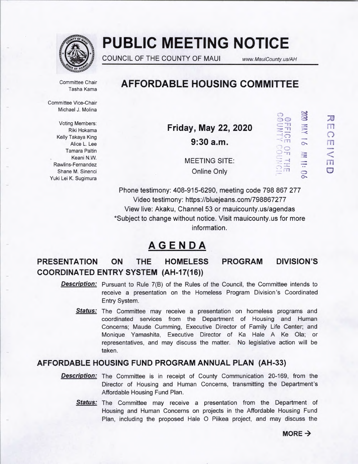

# **PUBLIC MEETING NOTICE**

COUNCIL OF THE COUNTY OF MAUI www.MauiCounty.us/AH

Tasha Kama

Committee Chair **AFFORDABLE HOUSING COMMITTEE** 

Committee Vice-Chair Michael J. Molina

Voting Members: Tamara Paltin<br>Keani N.W.<br>Rawlins-Fernandez<br>Rawlins-Fernandez Yuki Lei K. Sugimura

Voting Members:<br>
Riki Hokama<br>
Kelly Takaya King **Friday, May 22, 2020**  $\frac{1}{2}$   $\frac{1}{2}$   $\frac{1}{2}$   $\frac{1}{2}$   $\frac{1}{2}$   $\frac{1}{2}$  $\frac{1}{\text{Alice L. Lee}}$  **9:30 a.m.**  $\frac{1}{\text{Time}}$   $\frac{1}{\text{Time}}$  **o** 

 $\frac{1}{\sqrt{2}}$  Shane M. Sinenci Changes and Chine Only  $\frac{1}{\sqrt{2}}$   $\frac{1}{\sqrt{2}}$   $\frac{1}{\sqrt{2}}$   $\frac{1}{\sqrt{2}}$ 

Phone testimony: 408-915-6290, meeting code 798 867 277 Video testimony: https://bluejeans.com/798867277 View live: Akaku, Channel 53 or mauicounty.us/agendas \*Subject to change without notice. Visit mauicounty.usfor more information.

## **AGENDA**

## PRESENTATION ON THE HOMELESS PROGRAM DIVISION'S COORDINATED ENTRY SYSTEM (AH-17(16))

- **Description:** Pursuant to Rule 7(B) of the Rules of the Council, the Committee intends to receive a presentation on the Homeless Program Division's Coordinated Entry System.
	- **Status:** The Committee may receive a presentation on homeless programs and coordinated services from the Department of Housing and Human Concerns; Maude Cumming, Executive Director of Family Life Center; and Monique Yamashita, Executive Director of Ka Hale A Ke Ola; or representatives, and may discuss the matter. No legislative action will be taken.

## AFFORDABLE HOUSING FUND PROGRAM ANNUAL PLAN (AH-33)

- **Description:** The Committee is in receipt of County Communication 20-169, from the Director of Housing and Human Concerns, transmitting the Department's Affordable Housing Fund Plan.
	- Status: The Committee may receive a presentation from the Department of Housing and Human Concerns on projects in the Affordable Housing Fund Plan, including the proposed Hale 0 Piikea project, and may discuss the